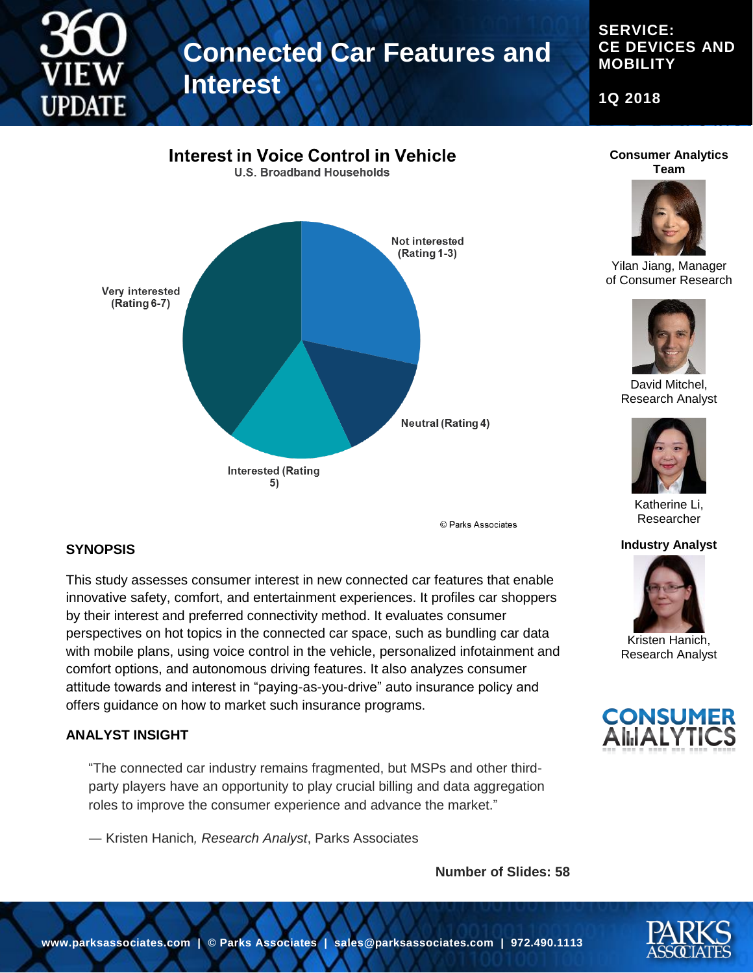# **Connected Car Features and Interest**

#### **SERVICE: CE DEVICES AND MOBILITY**

**1Q 2018**







Yilan Jiang, Manager of Consumer Research



David Mitchel, Research Analyst



Katherine Li, Researcher

#### **Industry Analyst**



Kristen Hanich, Research Analyst



#### **SYNOPSIS**

This study assesses consumer interest in new connected car features that enable innovative safety, comfort, and entertainment experiences. It profiles car shoppers by their interest and preferred connectivity method. It evaluates consumer perspectives on hot topics in the connected car space, such as bundling car data with mobile plans, using voice control in the vehicle, personalized infotainment and comfort options, and autonomous driving features. It also analyzes consumer attitude towards and interest in "paying-as-you-drive" auto insurance policy and offers guidance on how to market such insurance programs.

#### **ANALYST INSIGHT**

"The connected car industry remains fragmented, but MSPs and other thirdparty players have an opportunity to play crucial billing and data aggregation roles to improve the consumer experience and advance the market."

― Kristen Hanich*, Research Analyst*, Parks Associates

**Number of Slides: 58**

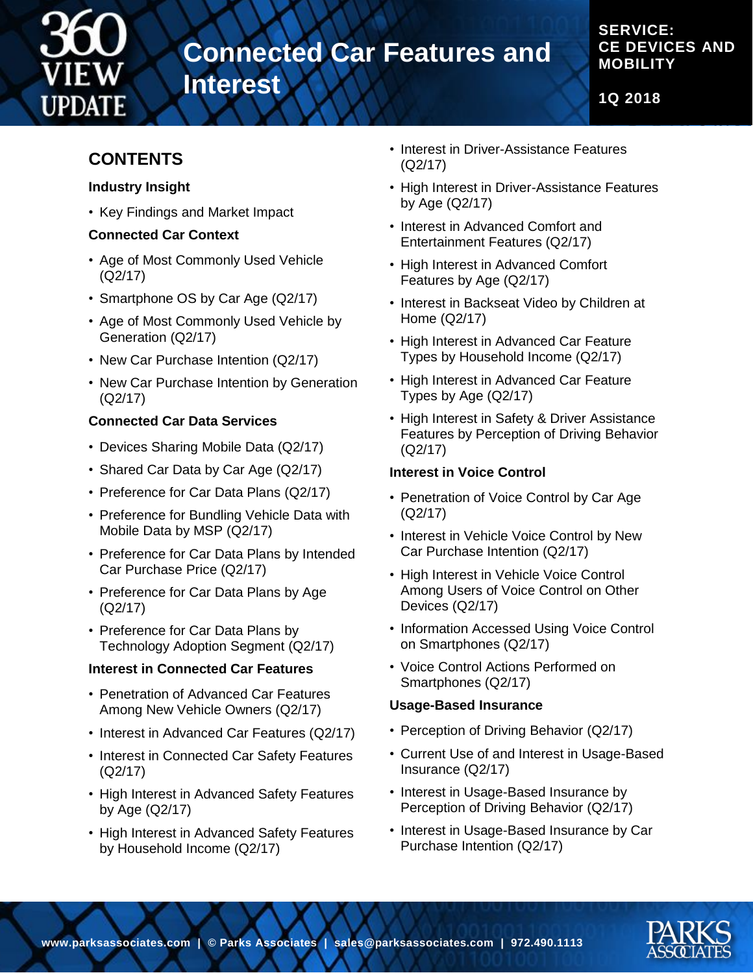

# **Connected Car Features and**

**Interest**

### **SERVICE: CE DEVICES AND MOBILITY**

**1Q 2018**

# **CONTENTS**

#### **Industry Insight**

• Key Findings and Market Impact

### **Connected Car Context**

- Age of Most Commonly Used Vehicle (Q2/17)
- Smartphone OS by Car Age (Q2/17)
- Age of Most Commonly Used Vehicle by Generation (Q2/17)
- New Car Purchase Intention (Q2/17)
- New Car Purchase Intention by Generation (Q2/17)

### **Connected Car Data Services**

- Devices Sharing Mobile Data (Q2/17)
- Shared Car Data by Car Age (Q2/17)
- Preference for Car Data Plans (Q2/17)
- Preference for Bundling Vehicle Data with Mobile Data by MSP (Q2/17)
- Preference for Car Data Plans by Intended Car Purchase Price (Q2/17)
- Preference for Car Data Plans by Age (Q2/17)
- Preference for Car Data Plans by Technology Adoption Segment (Q2/17)

### **Interest in Connected Car Features**

- Penetration of Advanced Car Features Among New Vehicle Owners (Q2/17)
- Interest in Advanced Car Features (Q2/17)
- Interest in Connected Car Safety Features (Q2/17)
- High Interest in Advanced Safety Features by Age (Q2/17)
- High Interest in Advanced Safety Features by Household Income (Q2/17)
- Interest in Driver-Assistance Features (Q2/17)
- High Interest in Driver-Assistance Features by Age (Q2/17)
- Interest in Advanced Comfort and Entertainment Features (Q2/17)
- High Interest in Advanced Comfort Features by Age (Q2/17)
- Interest in Backseat Video by Children at Home (Q2/17)
- High Interest in Advanced Car Feature Types by Household Income (Q2/17)
- High Interest in Advanced Car Feature Types by Age (Q2/17)
- High Interest in Safety & Driver Assistance Features by Perception of Driving Behavior (Q2/17)

### **Interest in Voice Control**

- Penetration of Voice Control by Car Age (Q2/17)
- Interest in Vehicle Voice Control by New Car Purchase Intention (Q2/17)
- High Interest in Vehicle Voice Control Among Users of Voice Control on Other Devices (Q2/17)
- Information Accessed Using Voice Control on Smartphones (Q2/17)
- Voice Control Actions Performed on Smartphones (Q2/17)

### **Usage-Based Insurance**

- Perception of Driving Behavior (Q2/17)
- Current Use of and Interest in Usage-Based Insurance (Q2/17)
- Interest in Usage-Based Insurance by Perception of Driving Behavior (Q2/17)
- Interest in Usage-Based Insurance by Car Purchase Intention (Q2/17)

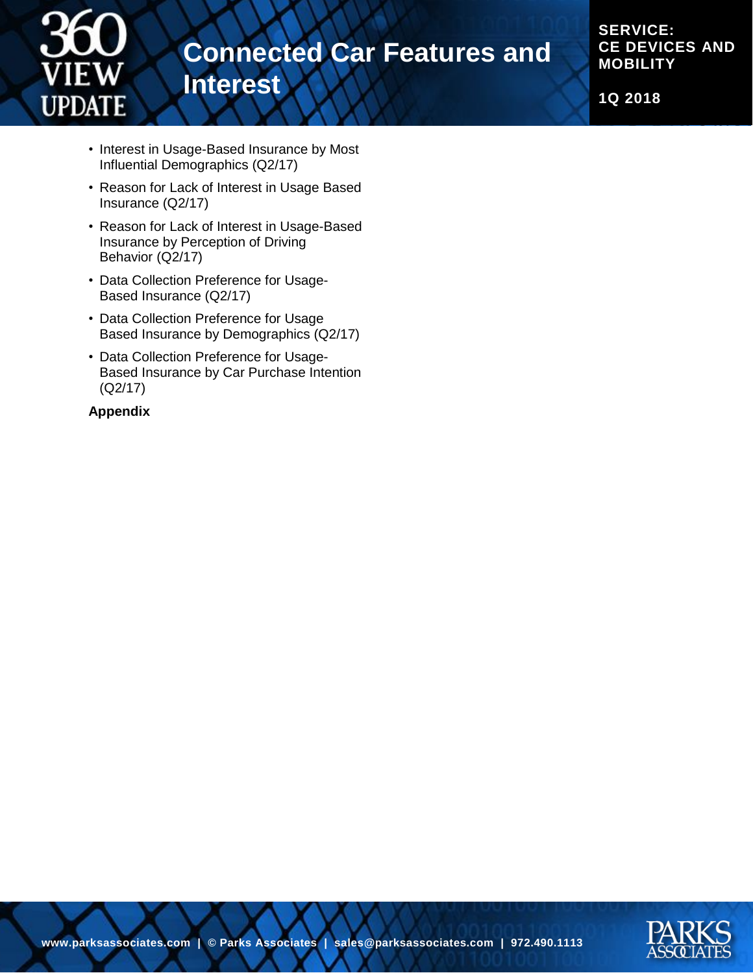

**SERVICE: CE DEVICES AND MOBILITY**

**1Q 2018**

- Interest in Usage-Based Insurance by Most Influential Demographics (Q2/17)
- Reason for Lack of Interest in Usage Based Insurance (Q2/17)
- Reason for Lack of Interest in Usage-Based Insurance by Perception of Driving Behavior (Q2/17)
- Data Collection Preference for Usage-Based Insurance (Q2/17)
- Data Collection Preference for Usage Based Insurance by Demographics (Q2/17)
- Data Collection Preference for Usage-Based Insurance by Car Purchase Intention (Q2/17)

#### **Appendix**